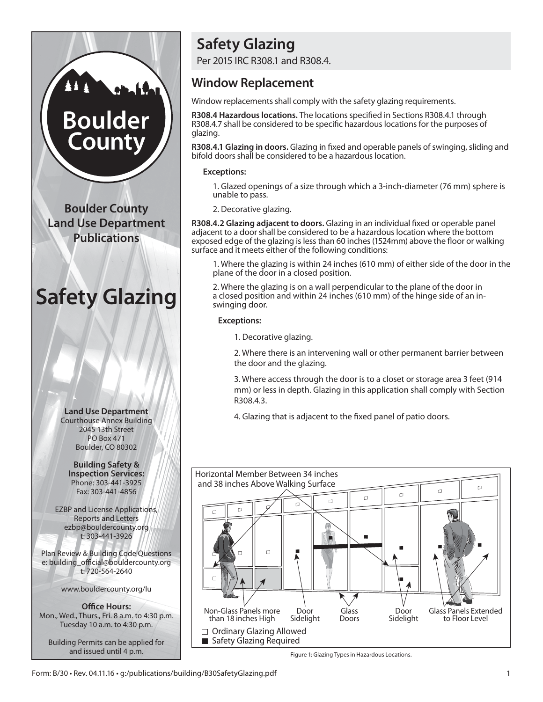# **Boulder** County

**Boulder County Land Use Department Publications**

## **Safety Glazing**



**Building Safety & Inspection Services:** Phone: 303-441-3925 Fax: 303-441-4856

EZBP and License Applications, Reports and Letters ezbp@bouldercounty.org t: 303-441-3926

Plan Review & Building Code Questions e: building\_official@bouldercounty.org t: 720-564-2640

www.bouldercounty.org/lu

**Office Hours:** Mon., Wed., Thurs., Fri. 8 a.m. to 4:30 p.m. Tuesday 10 a.m. to 4:30 p.m.

Building Permits can be applied for and issued until 4 p.m.

### **Safety Glazing**

Per 2015 IRC R308.1 and R308.4.

#### **Window Replacement**

Window replacements shall comply with the safety glazing requirements.

**R308.4 Hazardous locations.** The locations specified in Sections R308.4.1 through R308.4.7 shall be considered to be specific hazardous locations for the purposes of glazing.

**R308.4.1 Glazing in doors.** Glazing in fixed and operable panels of swinging, sliding and bifold doors shall be considered to be a hazardous location.

#### **Exceptions:**

1. Glazed openings of a size through which a 3-inch-diameter (76 mm) sphere is unable to pass.

2. Decorative glazing.

**R308.4.2 Glazing adjacent to doors.** Glazing in an individual fixed or operable panel adjacent to a door shall be considered to be a hazardous location where the bottom exposed edge of the glazing is less than 60 inches (1524mm) above the floor or walking surface and it meets either of the following conditions:

1. Where the glazing is within 24 inches (610 mm) of either side of the door in the plane of the door in a closed position.

2. Where the glazing is on a wall perpendicular to the plane of the door in a closed position and within 24 inches (610 mm) of the hinge side of an inswinging door.

#### **Exceptions:**

1. Decorative glazing.

2. Where there is an intervening wall or other permanent barrier between the door and the glazing.

3. Where access through the door is to a closet or storage area 3 feet (914 mm) or less in depth. Glazing in this application shall comply with Section R308.4.3.

4. Glazing that is adjacent to the fixed panel of patio doors.



Figure 1: Glazing Types in Hazardous Locations.